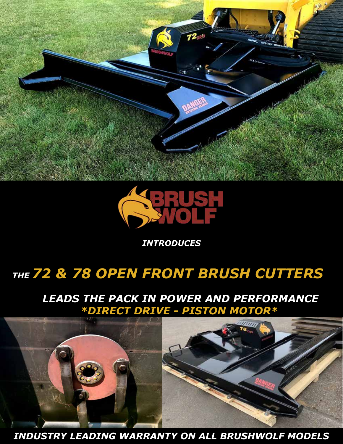



*INTRODUCES*

## *THE 72 & 78 OPEN FRONT BRUSH CUTTERS*

## *LEADS THE PACK IN POWER AND PERFORMANCE \*DIRECT DRIVE - PISTON MOTOR\**



*INDUSTRY LEADING WARRANTY ON ALL BRUSHWOLF MODELS*